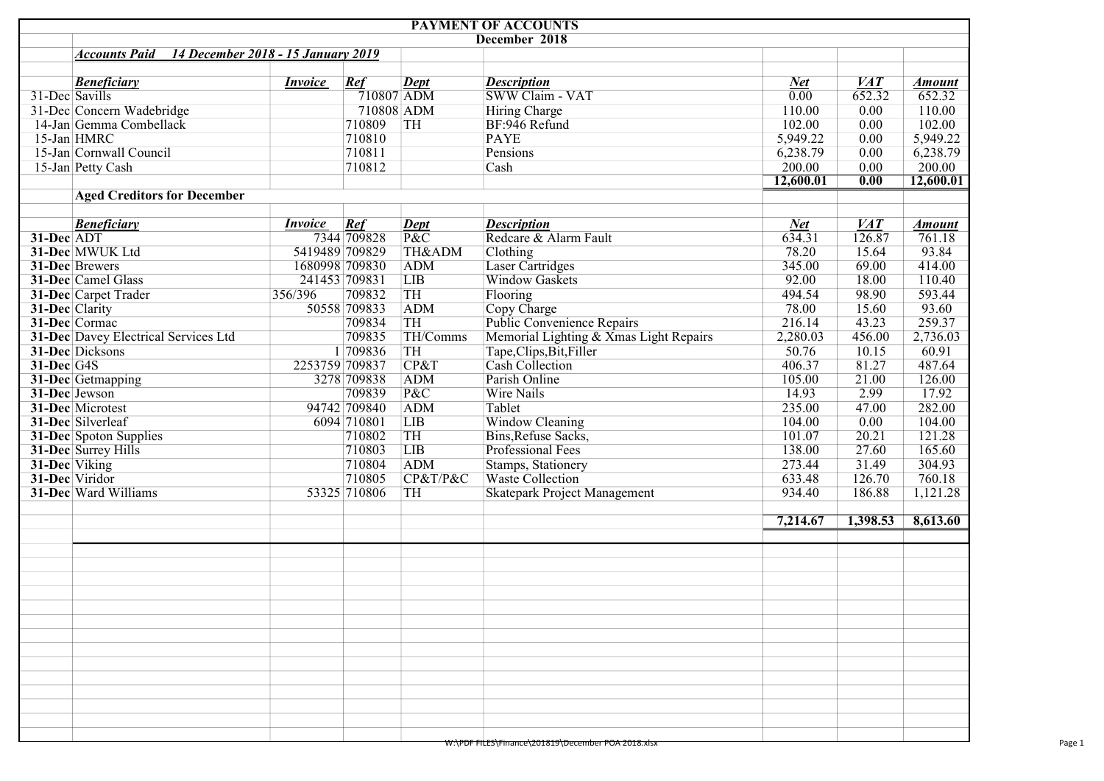|                       |                                                            |                |                                 | <b>PAYMENT OF ACCOUNTS</b>             |                   |                  |               |
|-----------------------|------------------------------------------------------------|----------------|---------------------------------|----------------------------------------|-------------------|------------------|---------------|
|                       |                                                            |                |                                 | December 2018                          |                   |                  |               |
|                       | 14 December 2018 - 15 January 2019<br><b>Accounts Paid</b> |                |                                 |                                        |                   |                  |               |
|                       |                                                            |                |                                 |                                        |                   |                  |               |
|                       | <b>Beneficiary</b><br><i>Invoice</i>                       | Ref            | <b>Dept</b>                     | <b>Description</b>                     | <b>Net</b>        | VAT              | <b>Amount</b> |
| 31-Dec Savills        |                                                            | $710807$ ADM   |                                 | SWW Claim - VAT                        | $\overline{0.00}$ | 652.32           | 652.32        |
|                       | 31-Dec Concern Wadebridge                                  | 710808 ADM     |                                 | Hiring Charge                          | 110.00            | 0.00             | 110.00        |
|                       | 14-Jan Gemma Combellack                                    | 710809         | TH                              | BF:946 Refund                          | 102.00            | 0.00             | 102.00        |
| 15-Jan HMRC           |                                                            | 710810         |                                 | <b>PAYE</b>                            | 5,949.22          | 0.00             | 5,949.22      |
|                       | 15-Jan Cornwall Council                                    | 710811         |                                 | Pensions                               | 6,238.79          | 0.00             | 6,238.79      |
|                       | 15-Jan Petty Cash                                          | 710812         |                                 | Cash                                   | 200.00            | 0.00             | 200.00        |
|                       |                                                            |                |                                 |                                        | 12,600.01         | 0.00             | 12,600.01     |
|                       | <b>Aged Creditors for December</b>                         |                |                                 |                                        |                   |                  |               |
|                       |                                                            |                |                                 |                                        |                   |                  |               |
|                       | <b>Beneficiary</b><br><b>Invoice</b>                       | Ref            | <b>Dept</b>                     | <b>Description</b>                     | <b>Net</b>        | $\overline{VAT}$ | <b>Amount</b> |
| 31-Dec ADT            |                                                            | 7344 709828    | $\overline{\text{P}\&\text{C}}$ | Redcare & Alarm Fault                  | 634.31            | 126.87           | 761.18        |
|                       | 31-Dec MWUK Ltd<br>5419489 709829                          |                | TH&ADM                          | Clothing                               | 78.20             | 15.64            | 93.84         |
| 31-Dec Brewers        |                                                            | 1680998 709830 | <b>ADM</b>                      | <b>Laser Cartridges</b>                | 345.00            | 69.00            | 414.00        |
|                       | 31-Dec Camel Glass                                         | 241453 709831  | <b>LIB</b>                      | Window Gaskets                         | 92.00             | 18.00            | 110.40        |
|                       | 31-Dec Carpet Trader<br>356/396                            | 709832         | TH                              | Flooring                               | 494.54            | 98.90            | 593.44        |
| 31-Dec Clarity        |                                                            | 50558 709833   | ADM                             | Copy Charge                            | 78.00             | 15.60            | 93.60         |
| 31-Dec Cormac         |                                                            | 709834         | TH                              | Public Convenience Repairs             | 216.14            | 43.23            | 259.37        |
|                       | 31-Dec Davey Electrical Services Ltd                       | 709835         | TH/Comms                        | Memorial Lighting & Xmas Light Repairs | 2,280.03          | 456.00           | 2,736.03      |
|                       | 31-Dec Dicksons                                            | 1 709836       | TH                              | Tape, Clips, Bit, Filler               | 50.76             | 10.15            | 60.91         |
| 31-Dec <sup>G4S</sup> | 2253759 709837                                             |                | CP&T                            | Cash Collection                        | 406.37            | 81.27            | 487.64        |
|                       | 31-Dec Getmapping                                          | 3278 709838    | <b>ADM</b>                      | Parish Online                          | 105.00            | 21.00            | 126.00        |
| 31-Dec Jewson         |                                                            | 709839         | P&C                             | <b>Wire Nails</b>                      | 14.93             | 2.99             | 17.92         |
|                       | 31-Dec Microtest                                           | 94742 709840   | ADM                             | Tablet                                 | 235.00            | 47.00            | 282.00        |
|                       | 31-Dec Silverleaf                                          | 6094 710801    | <b>LIB</b>                      | Window Cleaning                        | 104.00            | 0.00             | 104.00        |
|                       | <b>31-Dec</b> Spoton Supplies                              | 710802         | TH                              | Bins, Refuse Sacks,                    | 101.07            | 20.21            | 121.28        |
|                       | 31-Dec Surrey Hills                                        | 710803         | LIB                             | Professional Fees                      | 138.00            | 27.60            | 165.60        |
| 31-Dec Viking         |                                                            | 710804         | ADM                             | Stamps, Stationery                     | 273.44            | 31.49            | 304.93        |
| 31-Dec Viridor        |                                                            | 710805         | CP&T/P&C                        | <b>Waste Collection</b>                | 633.48            | 126.70           | 760.18        |
|                       | 31-Dec Ward Williams                                       | 53325 710806   | TH                              | Skatepark Project Management           | 934.40            | 186.88           | 1,121.28      |
|                       |                                                            |                |                                 |                                        | 7,214.67          | 1,398.53         | 8,613.60      |
|                       |                                                            |                |                                 |                                        |                   |                  |               |
|                       |                                                            |                |                                 |                                        |                   |                  |               |
|                       |                                                            |                |                                 |                                        |                   |                  |               |
|                       |                                                            |                |                                 |                                        |                   |                  |               |
|                       |                                                            |                |                                 |                                        |                   |                  |               |
|                       |                                                            |                |                                 |                                        |                   |                  |               |
|                       |                                                            |                |                                 |                                        |                   |                  |               |
|                       |                                                            |                |                                 |                                        |                   |                  |               |
|                       |                                                            |                |                                 |                                        |                   |                  |               |
|                       |                                                            |                |                                 |                                        |                   |                  |               |
|                       |                                                            |                |                                 |                                        |                   |                  |               |
|                       |                                                            |                |                                 |                                        |                   |                  |               |